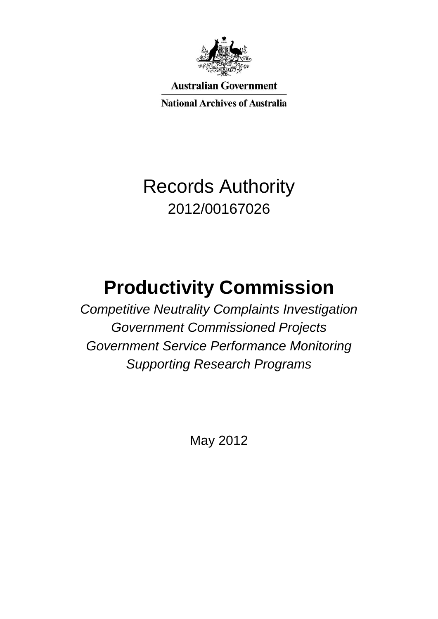

**Australian Government** 

**National Archives of Australia** 

## Records Authority 2012/00167026

# **Productivity Commission**

*Competitive Neutrality Complaints Investigation Government Commissioned Projects Government Service Performance Monitoring Supporting Research Programs*

May 2012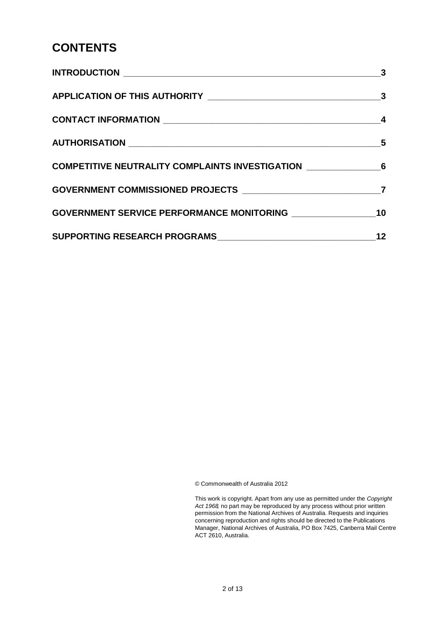#### **CONTENTS**

|                                                                     | $\overline{\mathbf{3}}$ |
|---------------------------------------------------------------------|-------------------------|
|                                                                     |                         |
|                                                                     |                         |
|                                                                     |                         |
| COMPETITIVE NEUTRALITY COMPLAINTS INVESTIGATION __________________6 |                         |
| GOVERNMENT COMMISSIONED PROJECTS ________________________________7  |                         |
|                                                                     |                         |
|                                                                     | 12                      |

© Commonwealth of Australia 2012

 This work is copyright. Apart from any use as permitted under the *Copyright Act 1968,* no part may be reproduced by any process without prior written permission from the National Archives of Australia. Requests and inquiries concerning reproduction and rights should be directed to the Publications Manager, National Archives of Australia, PO Box 7425, Canberra Mail Centre ACT 2610, Australia.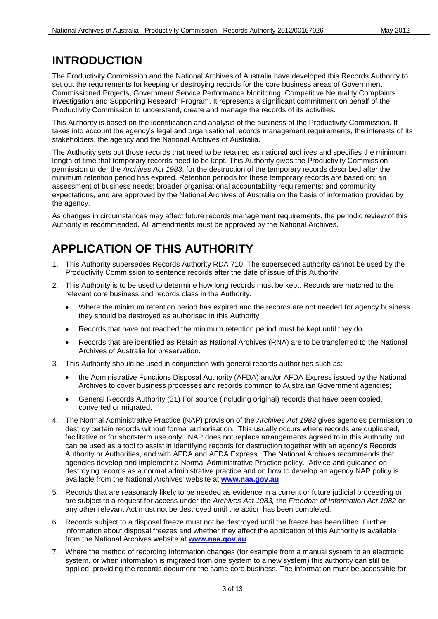#### **INTRODUCTION**

 Investigation and Supporting Research Program. It represents a significant commitment on behalf of the The Productivity Commission and the National Archives of Australia have developed this Records Authority to set out the requirements for keeping or destroying records for the core business areas of Government Commissioned Projects, Government Service Performance Monitoring, Competitive Neutrality Complaints Productivity Commission to understand, create and manage the records of its activities.

 This Authority is based on the identification and analysis of the business of the Productivity Commission. It takes into account the agency's legal and organisational records management requirements, the interests of its stakeholders, the agency and the National Archives of Australia.

 permission under the *Archives Act 1983*, for the destruction of the temporary records described after the The Authority sets out those records that need to be retained as national archives and specifies the minimum length of time that temporary records need to be kept. This Authority gives the Productivity Commission minimum retention period has expired. Retention periods for these temporary records are based on: an assessment of business needs; broader organisational accountability requirements; and community expectations, and are approved by the National Archives of Australia on the basis of information provided by the agency.

 Authority is recommended. All amendments must be approved by the National Archives. As changes in circumstances may affect future records management requirements, the periodic review of this

### **APPLICATION OF THIS AUTHORITY**

- 1. This Authority supersedes Records Authority RDA 710. The superseded authority cannot be used by the Productivity Commission to sentence records after the date of issue of this Authority.
- 2. This Authority is to be used to determine how long records must be kept. Records are matched to the relevant core business and records class in the Authority.
	- Where the minimum retention period has expired and the records are not needed for agency business they should be destroyed as authorised in this Authority.
	- Records that have not reached the minimum retention period must be kept until they do.
	- Records that are identified as Retain as National Archives (RNA) are to be transferred to the National Archives of Australia for preservation.
- 3. This Authority should be used in conjunction with general records authorities such as:
	- the Administrative Functions Disposal Authority (AFDA) and/or AFDA Express issued by the National Archives to cover business processes and records common to Australian Government agencies;
	- General Records Authority (31) For source (including original) records that have been copied, converted or migrated.
- facilitative or for short-term use only. NAP does not replace arrangements agreed to in this Authority but can be used as a tool to assist in identifying records for destruction together with an agency's Records destroying records as a normal administrative practice and on how to develop an agency NAP policy is 4. The Normal Administrative Practice (NAP) provision of the *Archives Act 1983* gives agencies permission to destroy certain records without formal authorisation. This usually occurs where records are duplicated, Authority or Authorities, and with AFDA and AFDA Express. The National Archives recommends that agencies develop and implement a Normal Administrative Practice policy. Advice and guidance on available from the National Archives' website at **[www.naa.gov.au](http://www.naa.gov.au/)**
- 5. Records that are reasonably likely to be needed as evidence in a current or future judicial proceeding or are subject to a request for access under the *Archives Act 1983,* the *Freedom of Information Act 1982* or any other relevant Act must not be destroyed until the action has been completed.
- 6. Records subject to a disposal freeze must not be destroyed until the freeze has been lifted. Further information about disposal freezes and whether they affect the application of this Authority is available from the National Archives website at **[www.naa.gov.au](http://www.naa.gov.au/)**
- system, or when information is migrated from one system to a new system) this authority can still be 7. Where the method of recording information changes (for example from a manual system to an electronic applied, providing the records document the same core business. The information must be accessible for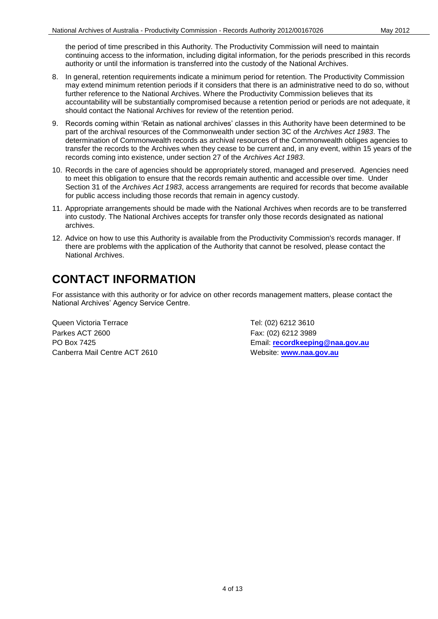authority or until the information is transferred into the custody of the National Archives. the period of time prescribed in this Authority. The Productivity Commission will need to maintain continuing access to the information, including digital information, for the periods prescribed in this records

- 8. In general, retention requirements indicate a minimum period for retention. The Productivity Commission may extend minimum retention periods if it considers that there is an administrative need to do so, without further reference to the National Archives. Where the Productivity Commission believes that its accountability will be substantially compromised because a retention period or periods are not adequate, it should contact the National Archives for review of the retention period.
- part of the archival resources of the Commonwealth under section 3C of the *Archives Act 1983*. The transfer the records to the Archives when they cease to be current and, in any event, within 15 years of the 9. Records coming within 'Retain as national archives' classes in this Authority have been determined to be determination of Commonwealth records as archival resources of the Commonwealth obliges agencies to records coming into existence, under section 27 of the *Archives Act 1983*.
- 10. Records in the care of agencies should be appropriately stored, managed and preserved. Agencies need to meet this obligation to ensure that the records remain authentic and accessible over time. Under Section 31 of the *Archives Act 1983*, access arrangements are required for records that become available for public access including those records that remain in agency custody.
- 11. Appropriate arrangements should be made with the National Archives when records are to be transferred into custody. The National Archives accepts for transfer only those records designated as national archives.
- 12. Advice on how to use this Authority is available from the Productivity Commission's records manager. If National Archives. there are problems with the application of the Authority that cannot be resolved, please contact the

#### **CONTACT INFORMATION**

 National Archives' Agency Service Centre. For assistance with this authority or for advice on other records management matters, please contact the

Queen Victoria Terrace Tel: (02) 6212 3610 Parkes ACT 2600 Fax: (02) 6212 3989 Canberra Mail Centre ACT 2610 Website: **[www.naa.gov.au](http://www.naa.gov.au/)** 

PO Box 7425 Email: **[recordkeeping@naa.gov.au](mailto:recordkeeping@naa.gov.au)**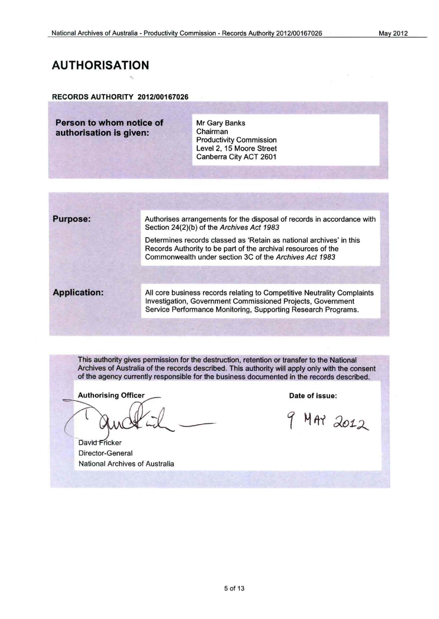#### **AUTHORISATION**

#### RECORDS AUTHORITY 2012/00167026

·.

**Person to whom notice of Mr Gary Banks**<br> **Authorisation is given:** Chairman authorisation is given:

Productivity Commission Level 2, 15 Moore Street Canberra City ACT 2601

**Purpose:** 

Authorises arrangements for the disposal of records in accordance with Section 24(2)(b) of the Archives Act 1983

Determines records classed as 'Retain as national archives' in this Records Authority to be part of the archival resources of the Commonwealth under section 3C of the Archives Act 1983

**Application:** 

All core business records relating to Competitive Neutrality Complaints Investigation, Government Commissioned Projects, Government Service Performance Monitoring, Supporting Research Programs.

This authority gives permission for the destruction, retention or transfer to the National Archives of Australia of the records described. This authority will apply only with the consent of the agency currently responsible for the business documented in the records described.

**Authorising Officer** 

David Fricker Director-General National Archives of Australia

Date of issue:

MAY 2012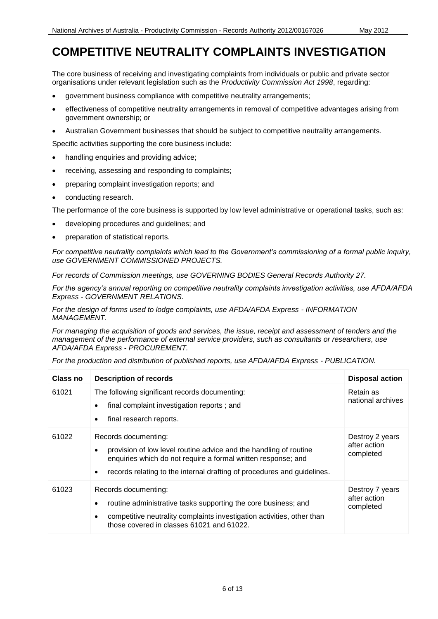#### **COMPETITIVE NEUTRALITY COMPLAINTS INVESTIGATION**

The core business of receiving and investigating complaints from individuals or public and private sector organisations under relevant legislation such as the *Productivity Commission Act 1998*, regarding:

- government business compliance with competitive neutrality arrangements;
- effectiveness of competitive neutrality arrangements in removal of competitive advantages arising from government ownership; or
- Australian Government businesses that should be subject to competitive neutrality arrangements.

Specific activities supporting the core business include:

- handling enquiries and providing advice;
- receiving, assessing and responding to complaints;
- preparing complaint investigation reports; and
- conducting research.

The performance of the core business is supported by low level administrative or operational tasks, such as:

- developing procedures and guidelines; and
- preparation of statistical reports.

 *For competitive neutrality complaints which lead to the Government's commissioning of a formal public inquiry, use GOVERNMENT COMMISSIONED PROJECTS.* 

 *For records of Commission meetings, use GOVERNING BODIES General Records Authority 27.* 

 *Express - GOVERNMENT RELATIONS. For the agency's annual reporting on competitive neutrality complaints investigation activities, use AFDA/AFDA* 

 *For the design of forms used to lodge complaints, use AFDA/AFDA Express - INFORMATION MANAGEMENT.* 

 *For managing the acquisition of goods and services, the issue, receipt and assessment of tenders and the AFDA/AFDA Express - PROCUREMENT. management of the performance of external service providers, such as consultants or researchers, use* 

For the production and distribution of published reports, use AFDA/AFDA Express - PUBLICATION.

| Class no | <b>Description of records</b>                                                                                                                                                                                                         | <b>Disposal action</b>                       |
|----------|---------------------------------------------------------------------------------------------------------------------------------------------------------------------------------------------------------------------------------------|----------------------------------------------|
| 61021    | The following significant records documenting:<br>final complaint investigation reports; and<br>final research reports.                                                                                                               | Retain as<br>national archives               |
| 61022    | Records documenting:<br>provision of low level routine advice and the handling of routine<br>enquiries which do not require a formal written response; and<br>records relating to the internal drafting of procedures and guidelines. | Destroy 2 years<br>after action<br>completed |
| 61023    | Records documenting:<br>routine administrative tasks supporting the core business; and<br>competitive neutrality complaints investigation activities, other than<br>those covered in classes 61021 and 61022.                         | Destroy 7 years<br>after action<br>completed |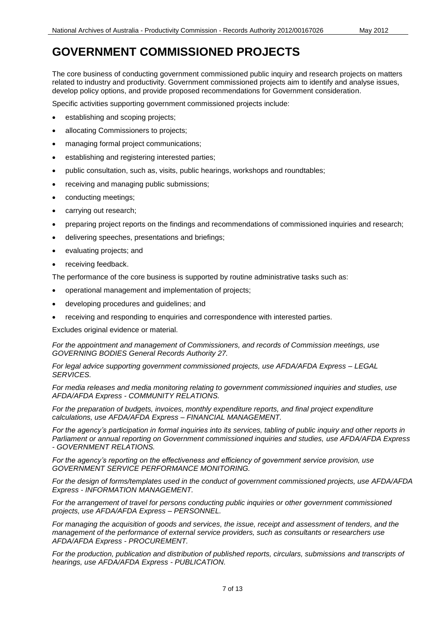#### **GOVERNMENT COMMISSIONED PROJECTS**

The core business of conducting government commissioned public inquiry and research projects on matters related to industry and productivity. Government commissioned projects aim to identify and analyse issues, develop policy options, and provide proposed recommendations for Government consideration.

Specific activities supporting government commissioned projects include:

- establishing and scoping projects;
- allocating Commissioners to projects;
- managing formal project communications;
- **e** establishing and registering interested parties;
- public consultation, such as, visits, public hearings, workshops and roundtables;
- receiving and managing public submissions;
- conducting meetings;
- carrying out research;
- preparing project reports on the findings and recommendations of commissioned inquiries and research;
- delivering speeches, presentations and briefings;
- evaluating projects; and
- receiving feedback.

The performance of the core business is supported by routine administrative tasks such as:

- operational management and implementation of projects;
- developing procedures and guidelines; and
- receiving and responding to enquiries and correspondence with interested parties.

Excludes original evidence or material.

 *GOVERNING BODIES General Records Authority 27. For the appointment and management of Commissioners, and records of Commission meetings, use* 

 *For legal advice supporting government commissioned projects, use AFDA/AFDA Express – LEGAL SERVICES.* 

 *AFDA/AFDA Express - COMMUNITY RELATIONS. For media releases and media monitoring relating to government commissioned inquiries and studies, use* 

 *calculations, use AFDA/AFDA Express – FINANCIAL MANAGEMENT. For the preparation of budgets, invoices, monthly expenditure reports, and final project expenditure* 

 *For the agency's participation in formal inquiries into its services, tabling of public inquiry and other reports in Parliament or annual reporting on Government commissioned inquiries and studies, use AFDA/AFDA Express - GOVERNMENT RELATIONS.* 

 *GOVERNMENT SERVICE PERFORMANCE MONITORING. For the agency's reporting on the effectiveness and efficiency of government service provision, use* 

 *Express - INFORMATION MANAGEMENT. For the design of forms/templates used in the conduct of government commissioned projects, use AFDA/AFDA* 

 *projects, use AFDA/AFDA Express – PERSONNEL. For the arrangement of travel for persons conducting public inquiries or other government commissioned* 

 *For managing the acquisition of goods and services, the issue, receipt and assessment of tenders, and the AFDA/AFDA Express - PROCUREMENT. management of the performance of external service providers, such as consultants or researchers use* 

For the production, publication and distribution of published reports, circulars, submissions and transcripts of  *hearings, use AFDA/AFDA Express - PUBLICATION.*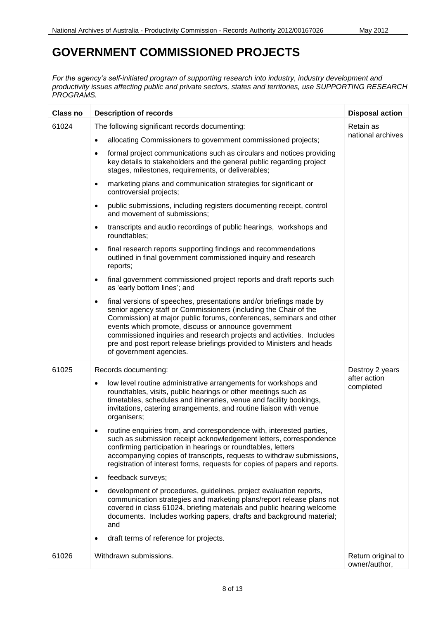#### **GOVERNMENT COMMISSIONED PROJECTS**

*For the agency's self-initiated program of supporting research into industry, industry development and productivity issues affecting public and private sectors, states and territories, use SUPPORTING RESEARCH PROGRAMS.* 

| <b>Class no</b> | <b>Description of records</b>                                                                                                                                                                                                                                                                                                                                                                                                                                   | <b>Disposal action</b>              |
|-----------------|-----------------------------------------------------------------------------------------------------------------------------------------------------------------------------------------------------------------------------------------------------------------------------------------------------------------------------------------------------------------------------------------------------------------------------------------------------------------|-------------------------------------|
| 61024           | The following significant records documenting:                                                                                                                                                                                                                                                                                                                                                                                                                  | Retain as                           |
|                 | allocating Commissioners to government commissioned projects;<br>$\bullet$                                                                                                                                                                                                                                                                                                                                                                                      | national archives                   |
|                 | formal project communications such as circulars and notices providing<br>$\bullet$<br>key details to stakeholders and the general public regarding project<br>stages, milestones, requirements, or deliverables;                                                                                                                                                                                                                                                |                                     |
|                 | marketing plans and communication strategies for significant or<br>$\bullet$<br>controversial projects;                                                                                                                                                                                                                                                                                                                                                         |                                     |
|                 | public submissions, including registers documenting receipt, control<br>$\bullet$<br>and movement of submissions;                                                                                                                                                                                                                                                                                                                                               |                                     |
|                 | transcripts and audio recordings of public hearings, workshops and<br>$\bullet$<br>roundtables;                                                                                                                                                                                                                                                                                                                                                                 |                                     |
|                 | final research reports supporting findings and recommendations<br>$\bullet$<br>outlined in final government commissioned inquiry and research<br>reports;                                                                                                                                                                                                                                                                                                       |                                     |
|                 | final government commissioned project reports and draft reports such<br>$\bullet$<br>as 'early bottom lines'; and                                                                                                                                                                                                                                                                                                                                               |                                     |
|                 | final versions of speeches, presentations and/or briefings made by<br>$\bullet$<br>senior agency staff or Commissioners (including the Chair of the<br>Commission) at major public forums, conferences, seminars and other<br>events which promote, discuss or announce government<br>commissioned inquiries and research projects and activities. Includes<br>pre and post report release briefings provided to Ministers and heads<br>of government agencies. |                                     |
| 61025           | Records documenting:                                                                                                                                                                                                                                                                                                                                                                                                                                            | Destroy 2 years                     |
|                 | low level routine administrative arrangements for workshops and<br>roundtables, visits, public hearings or other meetings such as<br>timetables, schedules and itineraries, venue and facility bookings,<br>invitations, catering arrangements, and routine liaison with venue<br>organisers;                                                                                                                                                                   | after action<br>completed           |
|                 | routine enquiries from, and correspondence with, interested parties,<br>$\bullet$<br>such as submission receipt acknowledgement letters, correspondence<br>confirming participation in hearings or roundtables, letters<br>accompanying copies of transcripts, requests to withdraw submissions,<br>registration of interest forms, requests for copies of papers and reports.                                                                                  |                                     |
|                 | feedback surveys;<br>$\bullet$                                                                                                                                                                                                                                                                                                                                                                                                                                  |                                     |
|                 | development of procedures, guidelines, project evaluation reports,<br>$\bullet$<br>communication strategies and marketing plans/report release plans not<br>covered in class 61024, briefing materials and public hearing welcome<br>documents. Includes working papers, drafts and background material;<br>and                                                                                                                                                 |                                     |
|                 | draft terms of reference for projects.                                                                                                                                                                                                                                                                                                                                                                                                                          |                                     |
| 61026           | Withdrawn submissions.                                                                                                                                                                                                                                                                                                                                                                                                                                          | Return original to<br>owner/author, |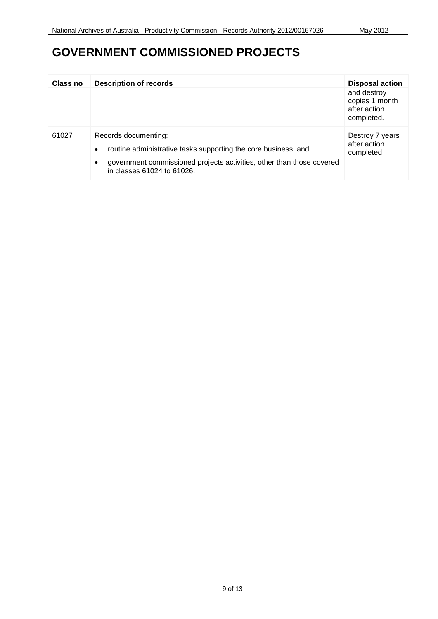#### **GOVERNMENT COMMISSIONED PROJECTS**

| Class no | <b>Description of records</b>                                                                                                                                                                                           | <b>Disposal action</b>                                      |
|----------|-------------------------------------------------------------------------------------------------------------------------------------------------------------------------------------------------------------------------|-------------------------------------------------------------|
|          |                                                                                                                                                                                                                         | and destroy<br>copies 1 month<br>after action<br>completed. |
| 61027    | Records documenting:<br>routine administrative tasks supporting the core business; and<br>$\bullet$<br>government commissioned projects activities, other than those covered<br>$\bullet$<br>in classes 61024 to 61026. | Destroy 7 years<br>after action<br>completed                |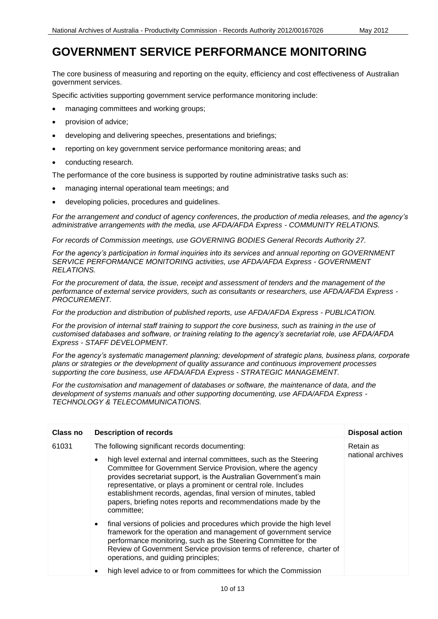#### **GOVERNMENT SERVICE PERFORMANCE MONITORING**

The core business of measuring and reporting on the equity, efficiency and cost effectiveness of Australian government services.

Specific activities supporting government service performance monitoring include:

- managing committees and working groups;
- provision of advice;
- developing and delivering speeches, presentations and briefings;
- reporting on key government service performance monitoring areas; and
- conducting research.

The performance of the core business is supported by routine administrative tasks such as:

- managing internal operational team meetings; and
- developing policies, procedures and guidelines.

 *For the arrangement and conduct of agency conferences, the production of media releases, and the agency's administrative arrangements with the media, use AFDA/AFDA Express - COMMUNITY RELATIONS.* 

 *For records of Commission meetings, use GOVERNING BODIES General Records Authority 27.* 

 *SERVICE PERFORMANCE MONITORING activities, use AFDA/AFDA Express - GOVERNMENT For the agency's participation in formal inquiries into its services and annual reporting on GOVERNMENT RELATIONS.* 

 *performance of external service providers, such as consultants or researchers, use AFDA/AFDA Express - For the procurement of data, the issue, receipt and assessment of tenders and the management of the PROCUREMENT.* 

For the production and distribution of published reports, use AFDA/AFDA Express - PUBLICATION.

 *Express - STAFF DEVELOPMENT. For the provision of internal staff training to support the core business, such as training in the use of customised databases and software, or training relating to the agency's secretariat role, use AFDA/AFDA* 

supporting the core business, use AFDA/AFDA Express - STRATEGIC MANAGEMENT. *For the agency's systematic management planning; development of strategic plans, business plans, corporate plans or strategies or the development of quality assurance and continuous improvement processes* 

 *For the customisation and management of databases or software, the maintenance of data, and the development of systems manuals and other supporting documenting, use AFDA/AFDA Express - TECHNOLOGY & TELECOMMUNICATIONS.* 

| <b>Class no</b> | <b>Description of records</b>                                                                                                                                                                                                                                                                                                             | <b>Disposal action</b>         |
|-----------------|-------------------------------------------------------------------------------------------------------------------------------------------------------------------------------------------------------------------------------------------------------------------------------------------------------------------------------------------|--------------------------------|
| 61031           | The following significant records documenting:<br>high level external and internal committees, such as the Steering<br>$\bullet$<br>Committee for Government Service Provision, where the agency<br>provides secretariat support, is the Australian Government's main<br>representative, or plays a prominent or central role. Includes   | Retain as<br>national archives |
|                 | establishment records, agendas, final version of minutes, tabled<br>papers, briefing notes reports and recommendations made by the<br>committee;                                                                                                                                                                                          |                                |
|                 | final versions of policies and procedures which provide the high level<br>$\bullet$<br>framework for the operation and management of government service<br>performance monitoring, such as the Steering Committee for the<br>Review of Government Service provision terms of reference, charter of<br>operations, and guiding principles; |                                |
|                 | high level advice to or from committees for which the Commission                                                                                                                                                                                                                                                                          |                                |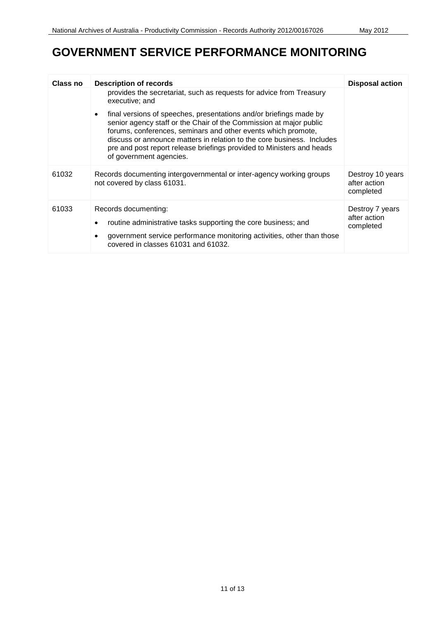#### **GOVERNMENT SERVICE PERFORMANCE MONITORING**

| Class no | <b>Description of records</b>                                                                                                                                                                                                                                                                                                                                                           | <b>Disposal action</b>                        |
|----------|-----------------------------------------------------------------------------------------------------------------------------------------------------------------------------------------------------------------------------------------------------------------------------------------------------------------------------------------------------------------------------------------|-----------------------------------------------|
|          | provides the secretariat, such as requests for advice from Treasury<br>executive; and                                                                                                                                                                                                                                                                                                   |                                               |
|          | final versions of speeches, presentations and/or briefings made by<br>senior agency staff or the Chair of the Commission at major public<br>forums, conferences, seminars and other events which promote,<br>discuss or announce matters in relation to the core business. Includes<br>pre and post report release briefings provided to Ministers and heads<br>of government agencies. |                                               |
| 61032    | Records documenting intergovernmental or inter-agency working groups<br>not covered by class 61031.                                                                                                                                                                                                                                                                                     | Destroy 10 years<br>after action<br>completed |
| 61033    | Records documenting:<br>routine administrative tasks supporting the core business; and<br>government service performance monitoring activities, other than those<br>covered in classes 61031 and 61032.                                                                                                                                                                                 | Destroy 7 years<br>after action<br>completed  |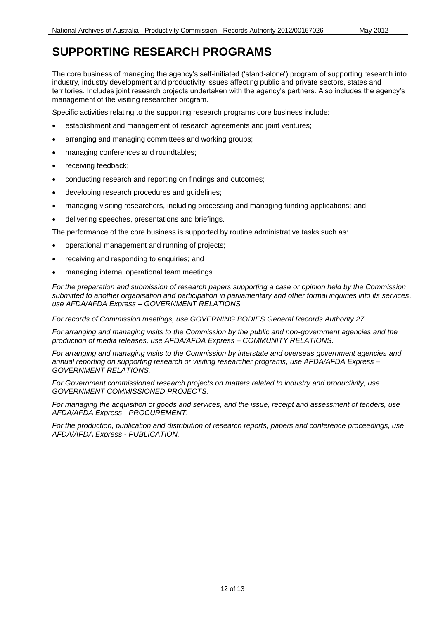#### **SUPPORTING RESEARCH PROGRAMS**

 industry, industry development and productivity issues affecting public and private sectors, states and territories. Includes joint research projects undertaken with the agency's partners. Also includes the agency's The core business of managing the agency's self-initiated ('stand-alone') program of supporting research into management of the visiting researcher program.

Specific activities relating to the supporting research programs core business include:

- establishment and management of research agreements and joint ventures;
- arranging and managing committees and working groups;
- managing conferences and roundtables;
- receiving feedback;
- conducting research and reporting on findings and outcomes;
- developing research procedures and guidelines;
- managing visiting researchers, including processing and managing funding applications; and
- delivering speeches, presentations and briefings.

The performance of the core business is supported by routine administrative tasks such as:

- operational management and running of projects;
- receiving and responding to enquiries; and
- managing internal operational team meetings.

 *submitted to another organisation and participation in parliamentary and other formal inquiries into its services, use AFDA/AFDA Express – GOVERNMENT RELATIONS For the preparation and submission of research papers supporting a case or opinion held by the Commission* 

 *For records of Commission meetings, use GOVERNING BODIES General Records Authority 27.* 

 *For arranging and managing visits to the Commission by the public and non-government agencies and the production of media releases, use AFDA/AFDA Express – COMMUNITY RELATIONS.* 

 *For arranging and managing visits to the Commission by interstate and overseas government agencies and annual reporting on supporting research or visiting researcher programs, use AFDA/AFDA Express – GOVERNMENT RELATIONS.* 

*For Government commissioned research projects on matters related to industry and productivity, use GOVERNMENT COMMISSIONED PROJECTS.* 

 *For managing the acquisition of goods and services, and the issue, receipt and assessment of tenders, use AFDA/AFDA Express - PROCUREMENT.* 

 *AFDA/AFDA Express - PUBLICATION. For the production, publication and distribution of research reports, papers and conference proceedings, use*